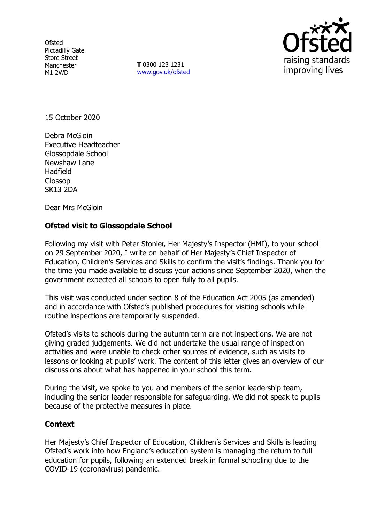**Ofsted** Piccadilly Gate Store Street Manchester M1 2WD

**T** 0300 123 1231 [www.gov.uk/ofsted](http://www.gov.uk/ofsted)



15 October 2020

Debra McGloin Executive Headteacher Glossopdale School Newshaw Lane Hadfield Glossop SK13 2DA

Dear Mrs McGloin

## **Ofsted visit to Glossopdale School**

Following my visit with Peter Stonier, Her Majesty's Inspector (HMI), to your school on 29 September 2020, I write on behalf of Her Majesty's Chief Inspector of Education, Children's Services and Skills to confirm the visit's findings. Thank you for the time you made available to discuss your actions since September 2020, when the government expected all schools to open fully to all pupils.

This visit was conducted under section 8 of the Education Act 2005 (as amended) and in accordance with Ofsted's published procedures for visiting schools while routine inspections are temporarily suspended.

Ofsted's visits to schools during the autumn term are not inspections. We are not giving graded judgements. We did not undertake the usual range of inspection activities and were unable to check other sources of evidence, such as visits to lessons or looking at pupils' work. The content of this letter gives an overview of our discussions about what has happened in your school this term.

During the visit, we spoke to you and members of the senior leadership team, including the senior leader responsible for safeguarding. We did not speak to pupils because of the protective measures in place.

## **Context**

Her Majesty's Chief Inspector of Education, Children's Services and Skills is leading Ofsted's work into how England's education system is managing the return to full education for pupils, following an extended break in formal schooling due to the COVID-19 (coronavirus) pandemic.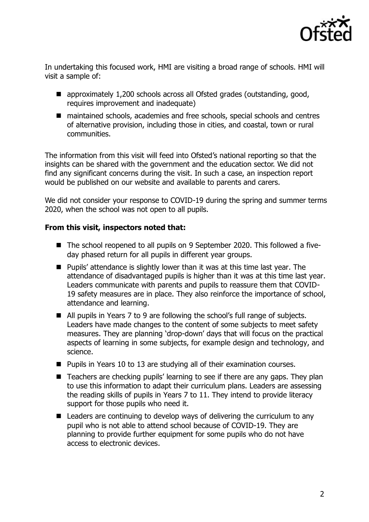

In undertaking this focused work, HMI are visiting a broad range of schools. HMI will visit a sample of:

- approximately 1,200 schools across all Ofsted grades (outstanding, good, requires improvement and inadequate)
- maintained schools, academies and free schools, special schools and centres of alternative provision, including those in cities, and coastal, town or rural communities.

The information from this visit will feed into Ofsted's national reporting so that the insights can be shared with the government and the education sector. We did not find any significant concerns during the visit. In such a case, an inspection report would be published on our website and available to parents and carers.

We did not consider your response to COVID-19 during the spring and summer terms 2020, when the school was not open to all pupils.

## **From this visit, inspectors noted that:**

- The school reopened to all pupils on 9 September 2020. This followed a fiveday phased return for all pupils in different year groups.
- Pupils' attendance is slightly lower than it was at this time last year. The attendance of disadvantaged pupils is higher than it was at this time last year. Leaders communicate with parents and pupils to reassure them that COVID-19 safety measures are in place. They also reinforce the importance of school, attendance and learning.
- All pupils in Years 7 to 9 are following the school's full range of subjects. Leaders have made changes to the content of some subjects to meet safety measures. They are planning 'drop-down' days that will focus on the practical aspects of learning in some subjects, for example design and technology, and science.
- Pupils in Years 10 to 13 are studying all of their examination courses.
- Teachers are checking pupils' learning to see if there are any gaps. They plan to use this information to adapt their curriculum plans. Leaders are assessing the reading skills of pupils in Years 7 to 11. They intend to provide literacy support for those pupils who need it.
- Leaders are continuing to develop ways of delivering the curriculum to any pupil who is not able to attend school because of COVID-19. They are planning to provide further equipment for some pupils who do not have access to electronic devices.